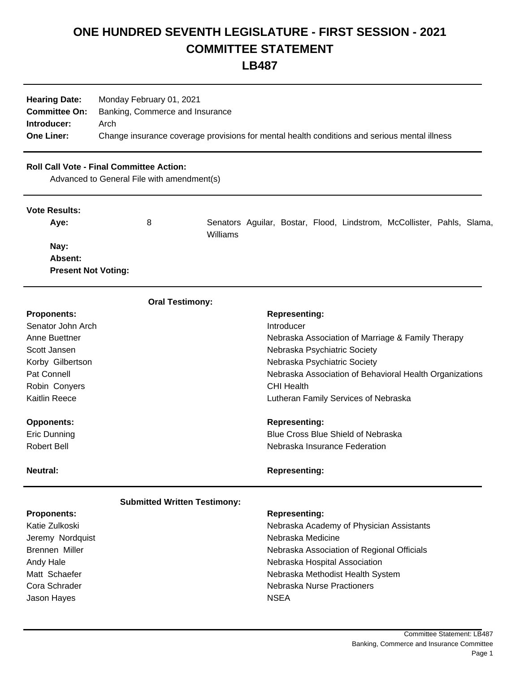# **ONE HUNDRED SEVENTH LEGISLATURE - FIRST SESSION - 2021 COMMITTEE STATEMENT**

**LB487**

| <b>Hearing Date:</b> | Monday February 01, 2021<br><b>Committee On:</b> Banking, Commerce and Insurance             |
|----------------------|----------------------------------------------------------------------------------------------|
| Introducer:          | Arch                                                                                         |
| <b>One Liner:</b>    | Change insurance coverage provisions for mental health conditions and serious mental illness |

# **Roll Call Vote - Final Committee Action:**

Advanced to General File with amendment(s)

| <b>Vote Results:</b>       |   |          |  |  |                                                                        |  |
|----------------------------|---|----------|--|--|------------------------------------------------------------------------|--|
| Ave:                       | 8 | Williams |  |  | Senators Aguilar, Bostar, Flood, Lindstrom, McCollister, Pahls, Slama, |  |
| Nay:                       |   |          |  |  |                                                                        |  |
| Absent:                    |   |          |  |  |                                                                        |  |
| <b>Present Not Voting:</b> |   |          |  |  |                                                                        |  |
|                            |   |          |  |  |                                                                        |  |

| <b>Oral Testimony:</b>              |                                                              |  |  |  |  |  |  |
|-------------------------------------|--------------------------------------------------------------|--|--|--|--|--|--|
| <b>Proponents:</b>                  | <b>Representing:</b>                                         |  |  |  |  |  |  |
| Senator John Arch                   | Introducer                                                   |  |  |  |  |  |  |
| Anne Buettner                       | Nebraska Association of Marriage & Family Therapy            |  |  |  |  |  |  |
| Scott Jansen                        | Nebraska Psychiatric Society<br>Nebraska Psychiatric Society |  |  |  |  |  |  |
| Korby Gilbertson                    |                                                              |  |  |  |  |  |  |
| Pat Connell                         | Nebraska Association of Behavioral Health Organizations      |  |  |  |  |  |  |
| Robin Conyers                       | CHI Health                                                   |  |  |  |  |  |  |
| <b>Kaitlin Reece</b>                | Lutheran Family Services of Nebraska                         |  |  |  |  |  |  |
| <b>Opponents:</b>                   | <b>Representing:</b>                                         |  |  |  |  |  |  |
| Eric Dunning                        | Blue Cross Blue Shield of Nebraska                           |  |  |  |  |  |  |
| <b>Robert Bell</b>                  | Nebraska Insurance Federation                                |  |  |  |  |  |  |
|                                     |                                                              |  |  |  |  |  |  |
| <b>Neutral:</b>                     | <b>Representing:</b>                                         |  |  |  |  |  |  |
| <b>Submitted Written Testimony:</b> |                                                              |  |  |  |  |  |  |
| <b>Proponents:</b>                  | <b>Representing:</b>                                         |  |  |  |  |  |  |
| Katie Zulkoski                      | Nebraska Academy of Physician Assistants                     |  |  |  |  |  |  |
| Jeremy Nordquist                    | Nebraska Medicine                                            |  |  |  |  |  |  |
| Brennen Miller                      | Nebraska Association of Regional Officials                   |  |  |  |  |  |  |
| Andy Hale                           | Nebraska Hospital Association                                |  |  |  |  |  |  |
| Matt Schaefer                       | Nebraska Methodist Health System                             |  |  |  |  |  |  |
| Cora Schrader                       | Nebraska Nurse Practioners                                   |  |  |  |  |  |  |
| Jason Hayes                         | <b>NSEA</b>                                                  |  |  |  |  |  |  |